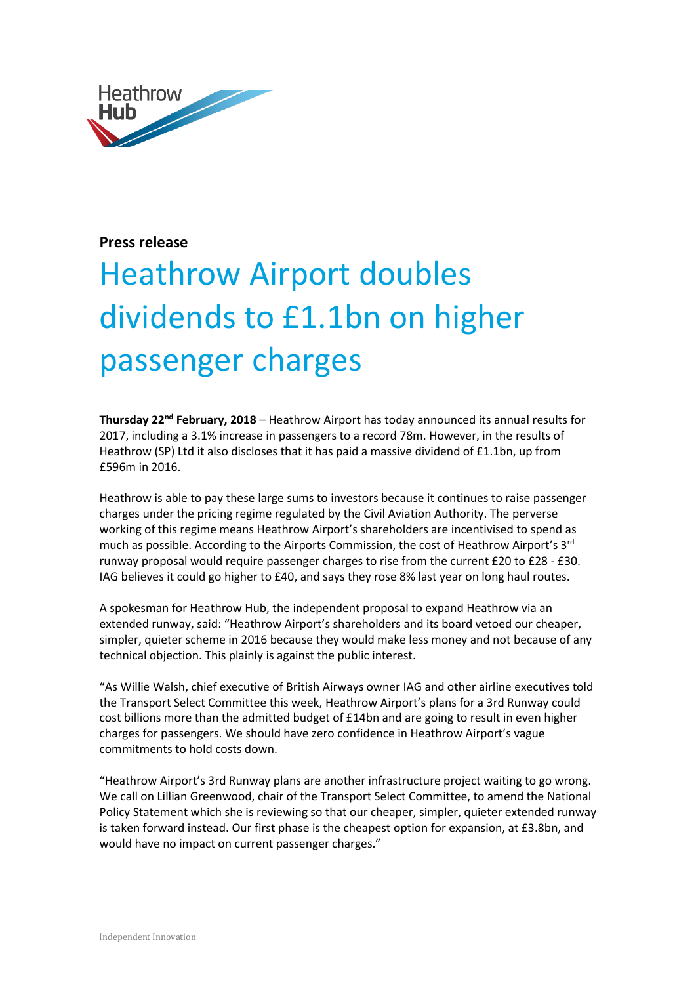

## **Press release**

## Heathrow Airport doubles dividends to £1.1bn on higher passenger charges

**Thursday 22nd February, 2018** – Heathrow Airport has today announced its annual results for 2017, including a 3.1% increase in passengers to a record 78m. However, in the results of Heathrow (SP) Ltd it also discloses that it has paid a massive dividend of £1.1bn, up from £596m in 2016.

Heathrow is able to pay these large sums to investors because it continues to raise passenger charges under the pricing regime regulated by the Civil Aviation Authority. The perverse working of this regime means Heathrow Airport's shareholders are incentivised to spend as much as possible. According to the Airports Commission, the cost of Heathrow Airport's 3<sup>rd</sup> runway proposal would require passenger charges to rise from the current £20 to £28 - £30. IAG believes it could go higher to £40, and says they rose 8% last year on long haul routes.

A spokesman for Heathrow Hub, the independent proposal to expand Heathrow via an extended runway, said: "Heathrow Airport's shareholders and its board vetoed our cheaper, simpler, quieter scheme in 2016 because they would make less money and not because of any technical objection. This plainly is against the public interest.

"As Willie Walsh, chief executive of British Airways owner IAG and other airline executives told the Transport Select Committee this week, Heathrow Airport's plans for a 3rd Runway could cost billions more than the admitted budget of £14bn and are going to result in even higher charges for passengers. We should have zero confidence in Heathrow Airport's vague commitments to hold costs down.

"Heathrow Airport's 3rd Runway plans are another infrastructure project waiting to go wrong. We call on Lillian Greenwood, chair of the Transport Select Committee, to amend the National Policy Statement which she is reviewing so that our cheaper, simpler, quieter extended runway is taken forward instead. Our first phase is the cheapest option for expansion, at £3.8bn, and would have no impact on current passenger charges."